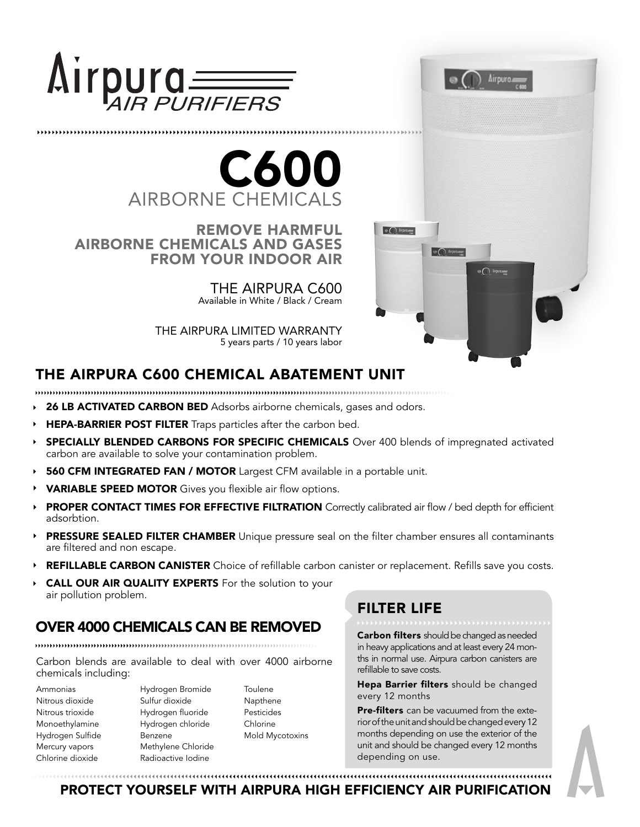

...................................



REMOVE HARMFUL AIRBORNE CHEMICALS AND GASES FROM YOUR INDOOR AIR

> THE AIRPURA C600 Available in White / Black / Cream

THE AIRPURA LIMITED WARRANTY 5 years parts / 10 years labor

# THE AIRPURA C600 CHEMICAL ABATEMENT UNIT

- $\cdots$
- 26 LB ACTIVATED CARBON BED Adsorbs airborne chemicals, gases and odors.
- HEPA-BARRIER POST FILTER Traps particles after the carbon bed.
- SPECIALLY BLENDED CARBONS FOR SPECIFIC CHEMICALS Over 400 blends of impregnated activated carbon are available to solve your contamination problem.
- **560 CFM INTEGRATED FAN / MOTOR** Largest CFM available in a portable unit.
- VARIABLE SPEED MOTOR Gives you flexible air flow options.
- PROPER CONTACT TIMES FOR EFFECTIVE FILTRATION Correctly calibrated air flow / bed depth for efficient adsorbtion.
- PRESSURE SEALED FILTER CHAMBER Unique pressure seal on the filter chamber ensures all contaminants  $\blacktriangleright$ are filtered and non escape.
- REFILLABLE CARBON CANISTER Choice of refillable carbon canister or replacement. Refills save you costs.
- CALL OUR AIR QUALITY EXPERTS For the solution to your air pollution problem.

#### OVER 4000 CHEMICALS CAN BE REMOVED

Carbon blends are available to deal with over 4000 airborne chemicals including:

Ammonias Nitrous dioxide Nitrous trioxide Monoethylamine Hydrogen Sulfide Mercury vapors Chlorine dioxide

Hydrogen Bromide Sulfur dioxide Hydrogen fluoride Hydrogen chloride Benzene Methylene Chloride Radioactive Iodine

**Toulene** Napthene Pesticides Chlorine Mold Mycotoxins

## FILTER LIFE

 $\circ$  (  $\circ$  kipm

 $\circ$   $\cap$  *lipm* 

Carbon filters should be changed as needed in heavy applications and at least every 24 months in normal use. Airpura carbon canisters are refillable to save costs.

Airpura

 $\Theta$  (  $\bigcap$  Airport

Hepa Barrier filters should be changed every 12 months

Pre-filters can be vacuumed from the exterior of the unit and should be changed every 12 months depending on use the exterior of the unit and should be changed every 12 months depending on use.

PROTECT YOURSELF WITH AIRPURA HIGH EFFICIENCY AIR PURIFICATION